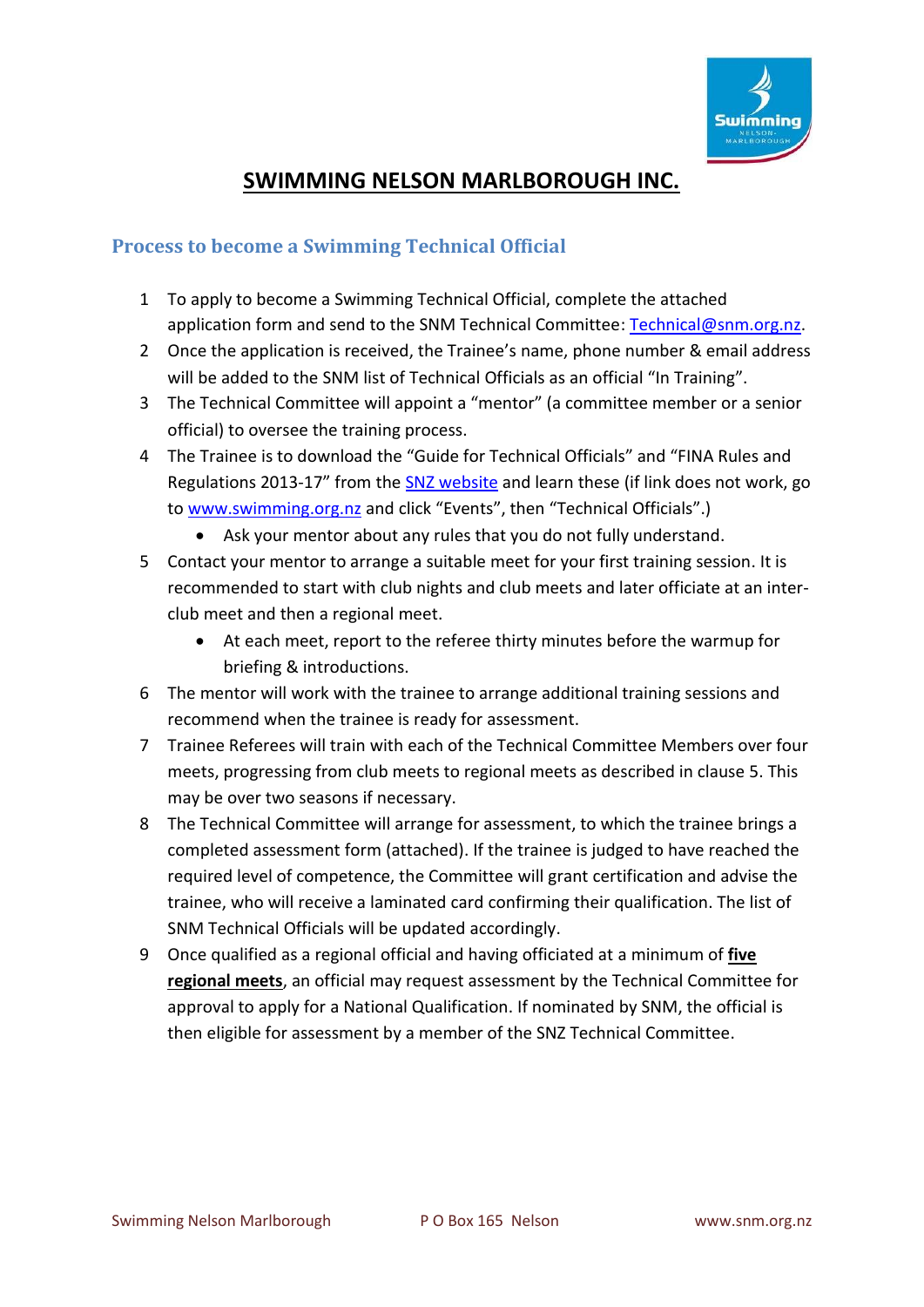

### **SWIMMING NELSON MARLBOROUGH INC.**

#### **Process to become a Swimming Technical Official**

- 1 To apply to become a Swimming Technical Official, complete the attached application form and send to the SNM Technical Committee: [Technical@snm.org.nz.](mailto:Technical@snm.org.nz)
- 2 Once the application is received, the Trainee's name, phone number & email address will be added to the SNM list of Technical Officials as an official "In Training".
- 3 The Technical Committee will appoint a "mentor" (a committee member or a senior official) to oversee the training process.
- 4 The Trainee is to download the "Guide for Technical Officials" and "FINA Rules and Regulations 2013-17" from the [SNZ website](http://www.swimming.org.nz/technical-officials.html) and learn these (if link does not work, go to [www.swimming.org.nz](http://www.swimming.org.nz/) and click "Events", then "Technical Officials".)
	- Ask your mentor about any rules that you do not fully understand.
- <span id="page-0-0"></span>5 Contact your mentor to arrange a suitable meet for your first training session. It is recommended to start with club nights and club meets and later officiate at an interclub meet and then a regional meet.
	- At each meet, report to the referee thirty minutes before the warmup for briefing & introductions.
- 6 The mentor will work with the trainee to arrange additional training sessions and recommend when the trainee is ready for assessment.
- 7 Trainee Referees will train with each of the Technical Committee Members over four meets, progressing from club meets to regional meets as described in clause [5.](#page-0-0) This may be over two seasons if necessary.
- 8 The Technical Committee will arrange for assessment, to which the trainee brings a completed assessment form (attached). If the trainee is judged to have reached the required level of competence, the Committee will grant certification and advise the trainee, who will receive a laminated card confirming their qualification. The list of SNM Technical Officials will be updated accordingly.
- 9 Once qualified as a regional official and having officiated at a minimum of **five regional meets**, an official may request assessment by the Technical Committee for approval to apply for a National Qualification. If nominated by SNM, the official is then eligible for assessment by a member of the SNZ Technical Committee.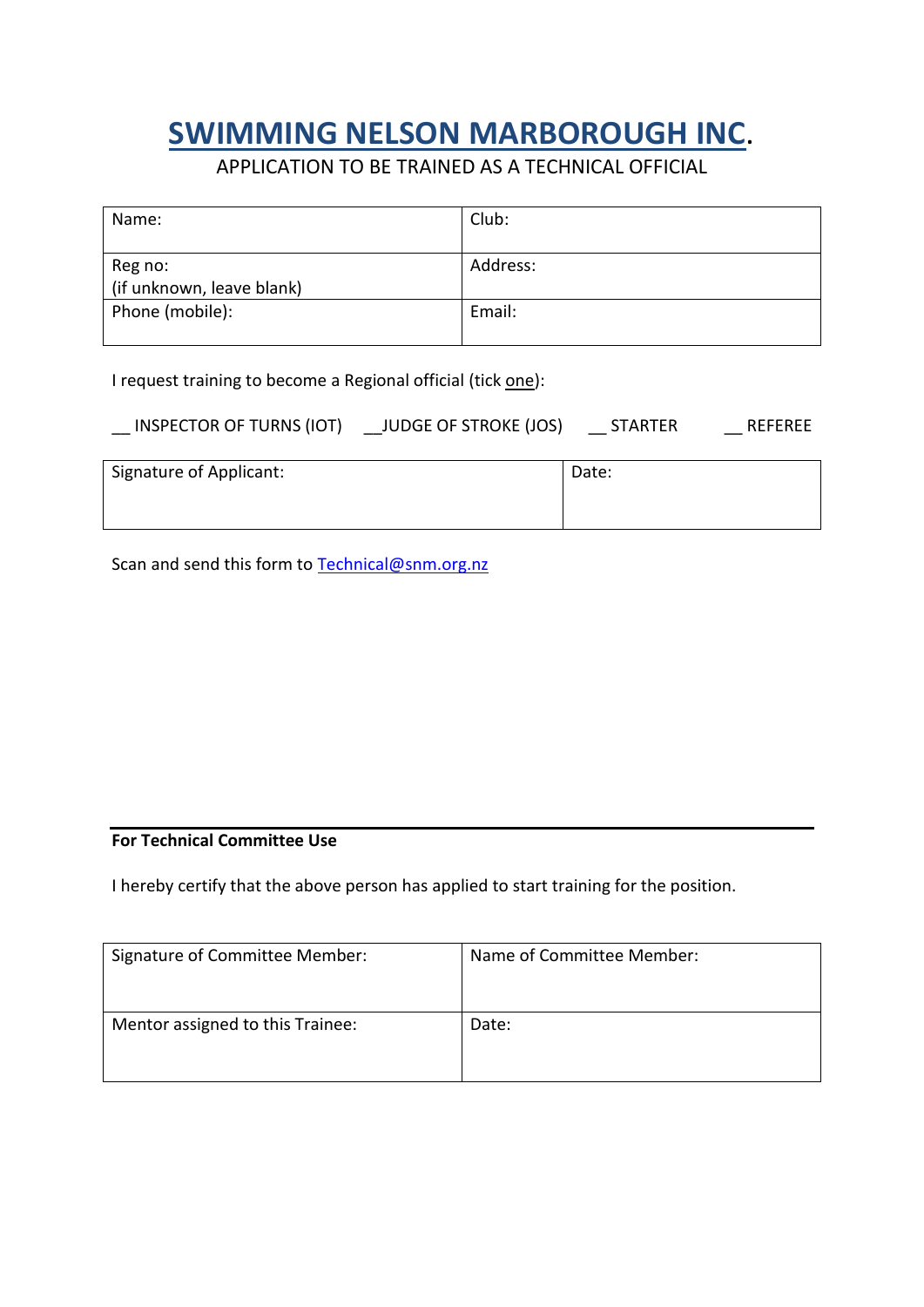# **SWIMMING NELSON MARBOROUGH INC**.

APPLICATION TO BE TRAINED AS A TECHNICAL OFFICIAL

| Name:                                | Club:    |
|--------------------------------------|----------|
| Reg no:<br>(if unknown, leave blank) | Address: |
| Phone (mobile):                      | Email:   |

I request training to become a Regional official (tick one):

| <b>JUDGE OF STROKE (JOS)</b><br><b>INSPECTOR OF TURNS (IOT)</b> | <b>STARTER</b> | REFEREE |
|-----------------------------------------------------------------|----------------|---------|
|-----------------------------------------------------------------|----------------|---------|

| Signature of Applicant: | Date: |
|-------------------------|-------|
|                         |       |

Scan and send this form to [Technical@snm.org.nz](mailto:Technical@snm.org.nz)

#### **For Technical Committee Use**

I hereby certify that the above person has applied to start training for the position.

| Signature of Committee Member:   | Name of Committee Member: |
|----------------------------------|---------------------------|
| Mentor assigned to this Trainee: | Date:                     |